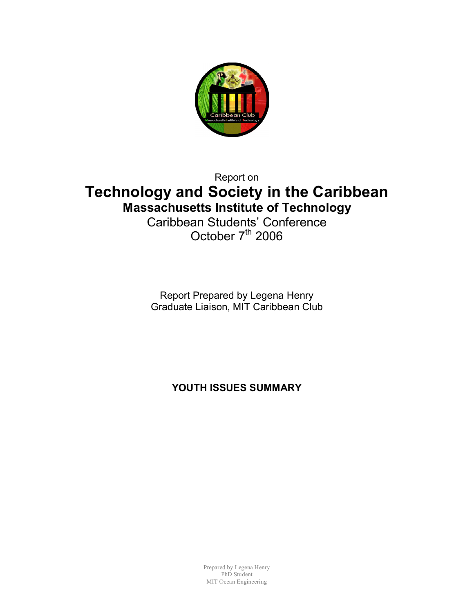

Report on

# **Technology and Society in the Caribbean Massachusetts Institute of Technology** Caribbean Students' Conference

October  $7<sup>th</sup>$  2006

Report Prepared by Legena Henry Graduate Liaison, MIT Caribbean Club

**YOUTH ISSUES SUMMARY**

Prepared by Legena Henry PhD Student MIT Ocean Engineering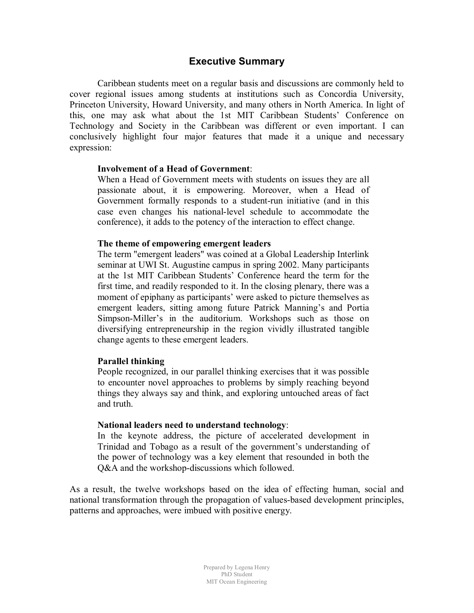### **Executive Summary**

Caribbean students meet on a regular basis and discussions are commonly held to cover regional issues among students at institutions such as Concordia University, Princeton University, Howard University, and many others in North America. In light of this, one may ask what about the 1st MIT Caribbean Students' Conference on Technology and Society in the Caribbean was different or even important. I can conclusively highlight four major features that made it a unique and necessary expression:

#### **Involvement of a Head of Government**:

When a Head of Government meets with students on issues they are all passionate about, it is empowering. Moreover, when a Head of Government formally responds to a student-run initiative (and in this case even changes his national-level schedule to accommodate the conference), it adds to the potency of the interaction to effect change.

#### **The theme of empowering emergent leaders**

The term "emergent leaders" was coined at a Global Leadership Interlink seminar at UWI St. Augustine campus in spring 2002. Many participants at the 1st MIT Caribbean Students' Conference heard the term for the first time, and readily responded to it. In the closing plenary, there was a moment of epiphany as participants' were asked to picture themselves as emergent leaders, sitting among future Patrick Manning's and Portia Simpson-Miller's in the auditorium. Workshops such as those on diversifying entrepreneurship in the region vividly illustrated tangible change agents to these emergent leaders.

### **Parallel thinking**

People recognized, in our parallel thinking exercises that it was possible to encounter novel approaches to problems by simply reaching beyond things they always say and think, and exploring untouched areas of fact and truth.

### **National leaders need to understand technology**:

In the keynote address, the picture of accelerated development in Trinidad and Tobago as a result of the government's understanding of the power of technology was a key element that resounded in both the Q&A and the workshop-discussions which followed.

As a result, the twelve workshops based on the idea of effecting human, social and national transformation through the propagation of values-based development principles, patterns and approaches, were imbued with positive energy.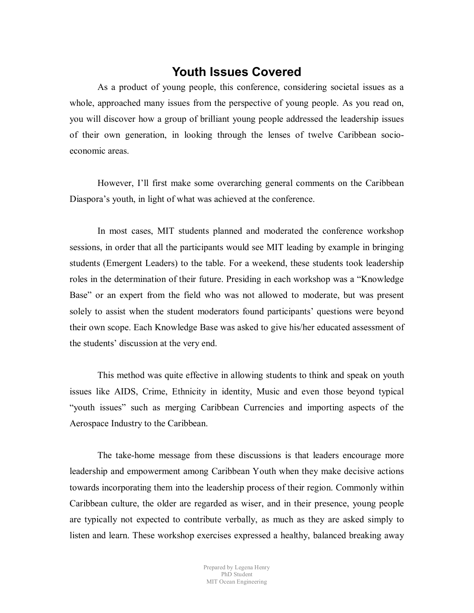### **Youth Issues Covered**

As a product of young people, this conference, considering societal issues as a whole, approached many issues from the perspective of young people. As you read on, you will discover how a group of brilliant young people addressed the leadership issues of their own generation, in looking through the lenses of twelve Caribbean socioeconomic areas.

However, I'll first make some overarching general comments on the Caribbean Diaspora's youth, in light of what was achieved at the conference.

In most cases, MIT students planned and moderated the conference workshop sessions, in order that all the participants would see MIT leading by example in bringing students (Emergent Leaders) to the table. For a weekend, these students took leadership roles in the determination of their future. Presiding in each workshop was a "Knowledge Base" or an expert from the field who was not allowed to moderate, but was present solely to assist when the student moderators found participants' questions were beyond their own scope. Each Knowledge Base was asked to give his/her educated assessment of the students' discussion at the very end.

This method was quite effective in allowing students to think and speak on youth issues like AIDS, Crime, Ethnicity in identity, Music and even those beyond typical "youth issues" such as merging Caribbean Currencies and importing aspects of the Aerospace Industry to the Caribbean.

The take-home message from these discussions is that leaders encourage more leadership and empowerment among Caribbean Youth when they make decisive actions towards incorporating them into the leadership process of their region. Commonly within Caribbean culture, the older are regarded as wiser, and in their presence, young people are typically not expected to contribute verbally, as much as they are asked simply to listen and learn. These workshop exercises expressed a healthy, balanced breaking away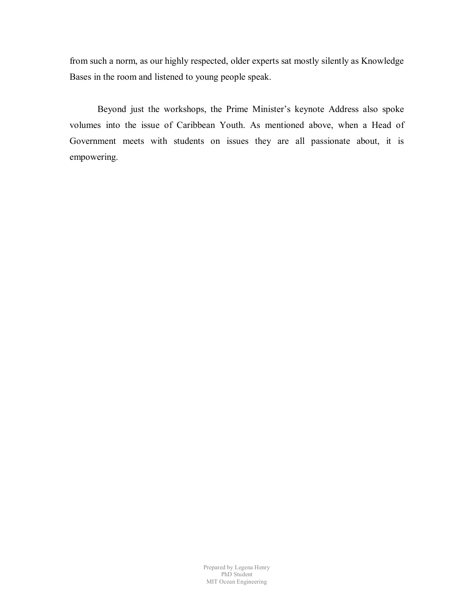from such a norm, as our highly respected, older experts sat mostly silently as Knowledge Bases in the room and listened to young people speak.

Beyond just the workshops, the Prime Minister's keynote Address also spoke volumes into the issue of Caribbean Youth. As mentioned above, when a Head of Government meets with students on issues they are all passionate about, it is empowering.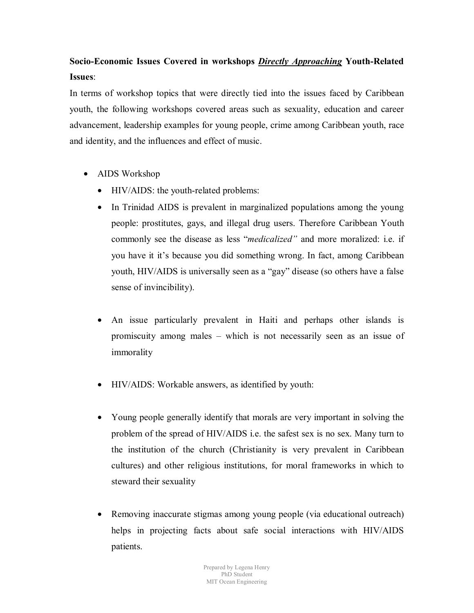## **Socio-Economic Issues Covered in workshops** *Directly Approaching* **Youth-Related Issues**:

In terms of workshop topics that were directly tied into the issues faced by Caribbean youth, the following workshops covered areas such as sexuality, education and career advancement, leadership examples for young people, crime among Caribbean youth, race and identity, and the influences and effect of music.

- AIDS Workshop
	- HIV/AIDS: the youth-related problems:
	- In Trinidad AIDS is prevalent in marginalized populations among the young people: prostitutes, gays, and illegal drug users. Therefore Caribbean Youth commonly see the disease as less "*medicalized"* and more moralized: i.e. if you have it it's because you did something wrong. In fact, among Caribbean youth, HIV/AIDS is universally seen as a "gay" disease (so others have a false sense of invincibility).
	- An issue particularly prevalent in Haiti and perhaps other islands is promiscuity among males – which is not necessarily seen as an issue of immorality
	- HIV/AIDS: Workable answers, as identified by youth:
	- Young people generally identify that morals are very important in solving the problem of the spread of HIV/AIDS i.e. the safest sex is no sex. Many turn to the institution of the church (Christianity is very prevalent in Caribbean cultures) and other religious institutions, for moral frameworks in which to steward their sexuality
	- Removing inaccurate stigmas among young people (via educational outreach) helps in projecting facts about safe social interactions with HIV/AIDS patients.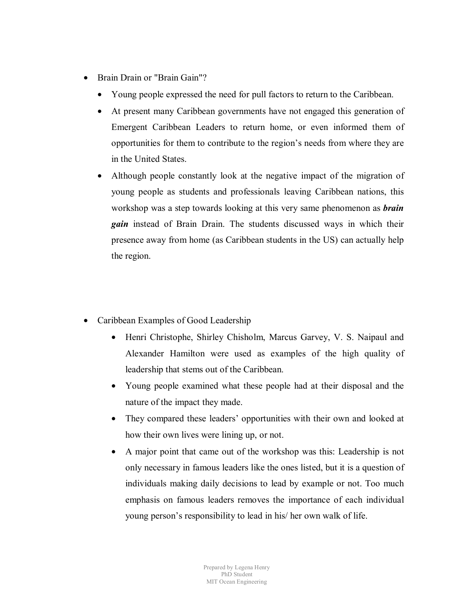- Brain Drain or "Brain Gain"?
	- Young people expressed the need for pull factors to return to the Caribbean.
	- At present many Caribbean governments have not engaged this generation of Emergent Caribbean Leaders to return home, or even informed them of opportunities for them to contribute to the region's needs from where they are in the United States.
	- Although people constantly look at the negative impact of the migration of young people as students and professionals leaving Caribbean nations, this workshop was a step towards looking at this very same phenomenon as *brain gain* instead of Brain Drain. The students discussed ways in which their presence away from home (as Caribbean students in the US) can actually help the region.
- Caribbean Examples of Good Leadership
	- Henri Christophe, Shirley Chisholm, Marcus Garvey, V. S. Naipaul and Alexander Hamilton were used as examples of the high quality of leadership that stems out of the Caribbean.
	- Young people examined what these people had at their disposal and the nature of the impact they made.
	- They compared these leaders' opportunities with their own and looked at how their own lives were lining up, or not.
	- A major point that came out of the workshop was this: Leadership is not only necessary in famous leaders like the ones listed, but it is a question of individuals making daily decisions to lead by example or not. Too much emphasis on famous leaders removes the importance of each individual young person's responsibility to lead in his/ her own walk of life.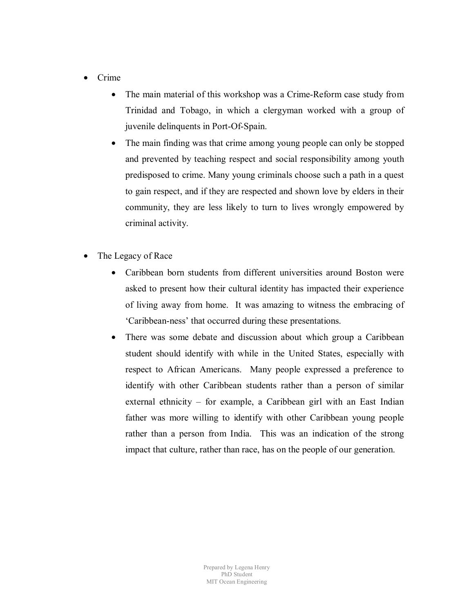- Crime
	- The main material of this workshop was a Crime-Reform case study from Trinidad and Tobago, in which a clergyman worked with a group of juvenile delinquents in Port-Of-Spain.
	- The main finding was that crime among young people can only be stopped and prevented by teaching respect and social responsibility among youth predisposed to crime. Many young criminals choose such a path in a quest to gain respect, and if they are respected and shown love by elders in their community, they are less likely to turn to lives wrongly empowered by criminal activity.
- The Legacy of Race
	- Caribbean born students from different universities around Boston were asked to present how their cultural identity has impacted their experience of living away from home. It was amazing to witness the embracing of 'Caribbean-ness' that occurred during these presentations.
	- There was some debate and discussion about which group a Caribbean student should identify with while in the United States, especially with respect to African Americans. Many people expressed a preference to identify with other Caribbean students rather than a person of similar external ethnicity – for example, a Caribbean girl with an East Indian father was more willing to identify with other Caribbean young people rather than a person from India. This was an indication of the strong impact that culture, rather than race, has on the people of our generation.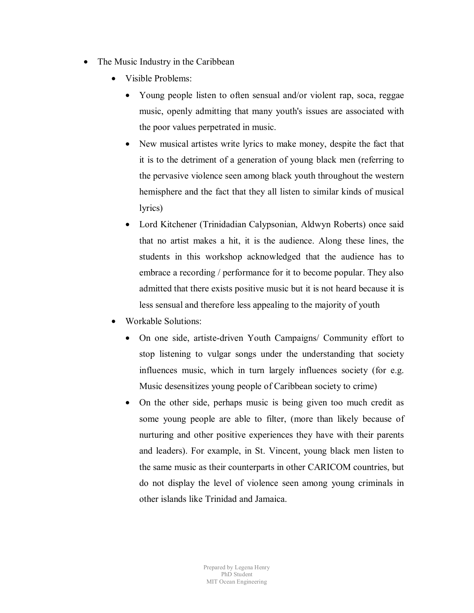- The Music Industry in the Caribbean
	- Visible Problems:
		- Young people listen to often sensual and/or violent rap, soca, reggae music, openly admitting that many youth's issues are associated with the poor values perpetrated in music.
		- New musical artistes write lyrics to make money, despite the fact that it is to the detriment of a generation of young black men (referring to the pervasive violence seen among black youth throughout the western hemisphere and the fact that they all listen to similar kinds of musical lyrics)
		- Lord Kitchener (Trinidadian Calypsonian, Aldwyn Roberts) once said that no artist makes a hit, it is the audience. Along these lines, the students in this workshop acknowledged that the audience has to embrace a recording / performance for it to become popular. They also admitted that there exists positive music but it is not heard because it is less sensual and therefore less appealing to the majority of youth
	- Workable Solutions:
		- On one side, artiste-driven Youth Campaigns/ Community effort to stop listening to vulgar songs under the understanding that society influences music, which in turn largely influences society (for e.g. Music desensitizes young people of Caribbean society to crime)
		- On the other side, perhaps music is being given too much credit as some young people are able to filter, (more than likely because of nurturing and other positive experiences they have with their parents and leaders). For example, in St. Vincent, young black men listen to the same music as their counterparts in other CARICOM countries, but do not display the level of violence seen among young criminals in other islands like Trinidad and Jamaica.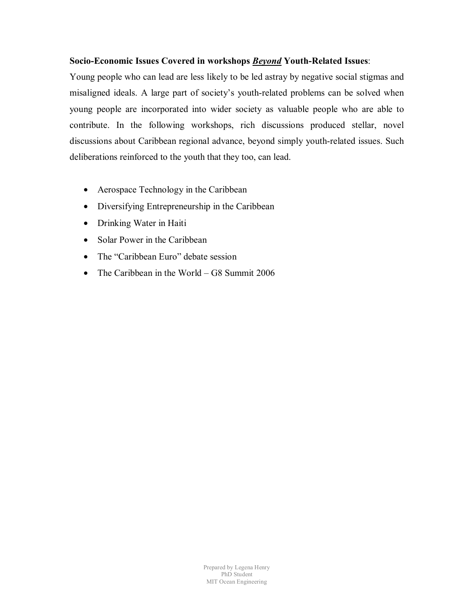### **Socio-Economic Issues Covered in workshops** *Beyond* **Youth-Related Issues**:

Young people who can lead are less likely to be led astray by negative social stigmas and misaligned ideals. A large part of society's youth-related problems can be solved when young people are incorporated into wider society as valuable people who are able to contribute. In the following workshops, rich discussions produced stellar, novel discussions about Caribbean regional advance, beyond simply youth-related issues. Such deliberations reinforced to the youth that they too, can lead.

- Aerospace Technology in the Caribbean
- Diversifying Entrepreneurship in the Caribbean
- Drinking Water in Haiti
- Solar Power in the Caribbean
- The "Caribbean Euro" debate session
- The Caribbean in the World G8 Summit 2006